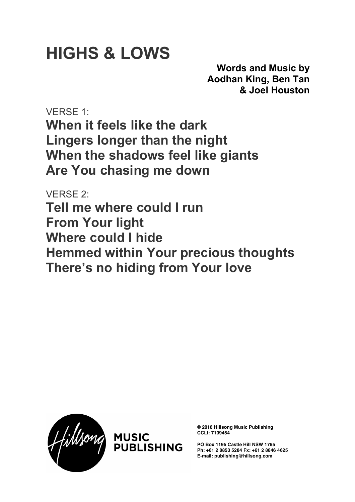## **HIGHS & LOWS**

**Words and Music by Aodhan King, Ben Tan & Joel Houston**

VERSE 1: **When it feels like the dark Lingers longer than the night When the shadows feel like giants Are You chasing me down**

VERSE 2: **Tell me where could I run From Your light Where could I hide Hemmed within Your precious thoughts There's no hiding from Your love**





**© 2018 Hillsong Music Publishing CCLI: 7109454**

**PO Box 1195 Castle Hill NSW 1765 Ph: +61 2 8853 5284 Fx: +61 2 8846 4625 E-mail: publishing@hillsong.com**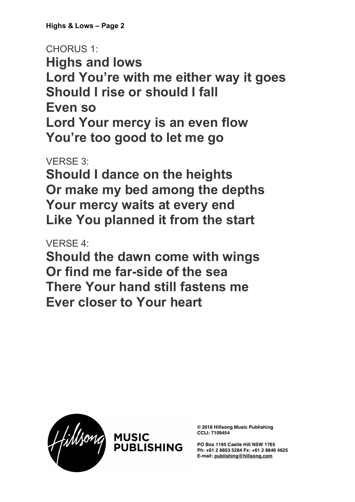**Highs & Lows – Page 2**

CHORUS 1: **Highs and lows Lord You're with me either way it goes Should I rise or should I fall Even so Lord Your mercy is an even flow You're too good to let me go**

VERSE 3:

**Should I dance on the heights Or make my bed among the depths Your mercy waits at every end Like You planned it from the start**

VERSE 4:

**Should the dawn come with wings Or find me far-side of the sea There Your hand still fastens me Ever closer to Your heart**





**© 2018 Hillsong Music Publishing CCLI: 7109454**

**PO Box 1195 Castle Hill NSW 1765 Ph: +61 2 8853 5284 Fx: +61 2 8846 4625 E-mail: publishing@hillsong.com**